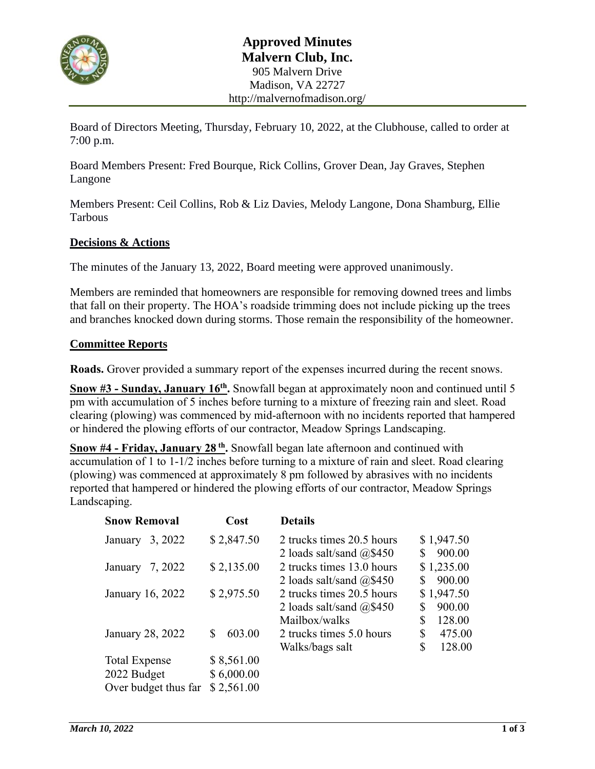

Board of Directors Meeting, Thursday, February 10, 2022, at the Clubhouse, called to order at 7:00 p.m.

Board Members Present: Fred Bourque, Rick Collins, Grover Dean, Jay Graves, Stephen Langone

Members Present: Ceil Collins, Rob & Liz Davies, Melody Langone, Dona Shamburg, Ellie Tarbous

### **Decisions & Actions**

The minutes of the January 13, 2022, Board meeting were approved unanimously.

Members are reminded that homeowners are responsible for removing downed trees and limbs that fall on their property. The HOA's roadside trimming does not include picking up the trees and branches knocked down during storms. Those remain the responsibility of the homeowner.

### **Committee Reports**

**Roads.** Grover provided a summary report of the expenses incurred during the recent snows.

**Snow #3 - Sunday, January 16th .** Snowfall began at approximately noon and continued until 5 pm with accumulation of 5 inches before turning to a mixture of freezing rain and sleet. Road clearing (plowing) was commenced by mid-afternoon with no incidents reported that hampered or hindered the plowing efforts of our contractor, Meadow Springs Landscaping.

**Snow #4 - Friday, January 28 th .** Snowfall began late afternoon and continued with accumulation of 1 to 1-1/2 inches before turning to a mixture of rain and sleet. Road clearing (plowing) was commenced at approximately 8 pm followed by abrasives with no incidents reported that hampered or hindered the plowing efforts of our contractor, Meadow Springs Landscaping.

| <b>Snow Removal</b>  | Cost         | <b>Details</b>                |              |
|----------------------|--------------|-------------------------------|--------------|
| 3, 2022<br>January   | \$2,847.50   | 2 trucks times 20.5 hours     | \$1,947.50   |
|                      |              | 2 loads salt/sand $@$450$     | S<br>900.00  |
| 7, 2022<br>January   | \$2,135.00   | 2 trucks times 13.0 hours     | \$1,235.00   |
|                      |              | 2 loads salt/sand $(a)$ \$450 | 900.00<br>S  |
| January 16, 2022     | \$2,975.50   | 2 trucks times 20.5 hours     | \$1,947.50   |
|                      |              | 2 loads salt/sand $(2, $450]$ | 900.00<br>\$ |
|                      |              | Mailbox/walks                 | \$<br>128.00 |
| January 28, 2022     | 603.00<br>S. | 2 trucks times 5.0 hours      | \$<br>475.00 |
|                      |              | Walks/bags salt               | \$<br>128.00 |
| <b>Total Expense</b> | \$8,561.00   |                               |              |
| 2022 Budget          | \$6,000.00   |                               |              |
| Over budget thus far | \$2,561.00   |                               |              |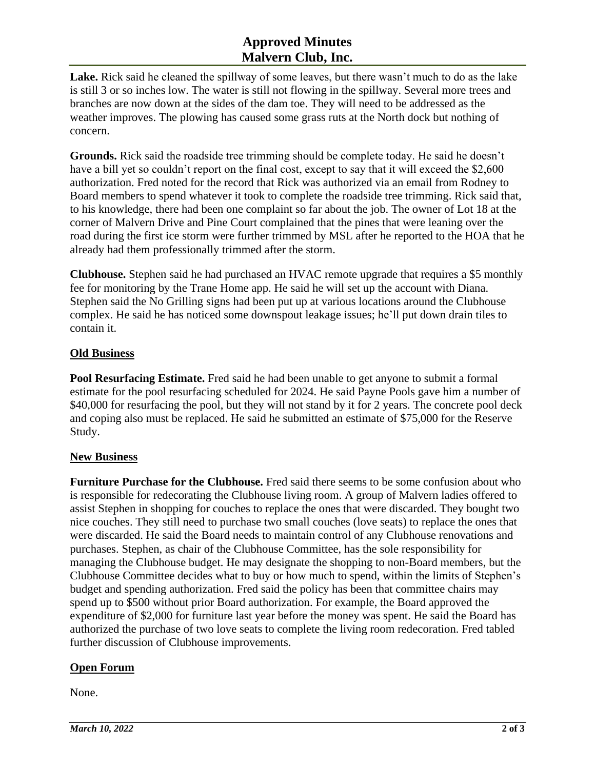## **Approved Minutes Malvern Club, Inc.**

**Lake.** Rick said he cleaned the spillway of some leaves, but there wasn't much to do as the lake is still 3 or so inches low. The water is still not flowing in the spillway. Several more trees and branches are now down at the sides of the dam toe. They will need to be addressed as the weather improves. The plowing has caused some grass ruts at the North dock but nothing of concern.

**Grounds.** Rick said the roadside tree trimming should be complete today. He said he doesn't have a bill yet so couldn't report on the final cost, except to say that it will exceed the \$2,600 authorization. Fred noted for the record that Rick was authorized via an email from Rodney to Board members to spend whatever it took to complete the roadside tree trimming. Rick said that, to his knowledge, there had been one complaint so far about the job. The owner of Lot 18 at the corner of Malvern Drive and Pine Court complained that the pines that were leaning over the road during the first ice storm were further trimmed by MSL after he reported to the HOA that he already had them professionally trimmed after the storm.

**Clubhouse.** Stephen said he had purchased an HVAC remote upgrade that requires a \$5 monthly fee for monitoring by the Trane Home app. He said he will set up the account with Diana. Stephen said the No Grilling signs had been put up at various locations around the Clubhouse complex. He said he has noticed some downspout leakage issues; he'll put down drain tiles to contain it.

## **Old Business**

**Pool Resurfacing Estimate.** Fred said he had been unable to get anyone to submit a formal estimate for the pool resurfacing scheduled for 2024. He said Payne Pools gave him a number of \$40,000 for resurfacing the pool, but they will not stand by it for 2 years. The concrete pool deck and coping also must be replaced. He said he submitted an estimate of \$75,000 for the Reserve Study.

### **New Business**

**Furniture Purchase for the Clubhouse.** Fred said there seems to be some confusion about who is responsible for redecorating the Clubhouse living room. A group of Malvern ladies offered to assist Stephen in shopping for couches to replace the ones that were discarded. They bought two nice couches. They still need to purchase two small couches (love seats) to replace the ones that were discarded. He said the Board needs to maintain control of any Clubhouse renovations and purchases. Stephen, as chair of the Clubhouse Committee, has the sole responsibility for managing the Clubhouse budget. He may designate the shopping to non-Board members, but the Clubhouse Committee decides what to buy or how much to spend, within the limits of Stephen's budget and spending authorization. Fred said the policy has been that committee chairs may spend up to \$500 without prior Board authorization. For example, the Board approved the expenditure of \$2,000 for furniture last year before the money was spent. He said the Board has authorized the purchase of two love seats to complete the living room redecoration. Fred tabled further discussion of Clubhouse improvements.

## **Open Forum**

None.